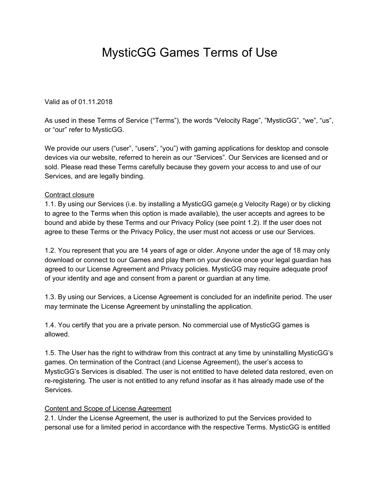## MysticGG Games Terms of Use

Valid as of 01.11.2018

As used in these Terms of Service ("Terms"), the words "Velocity Rage", "MysticGG", "we", "us", or "our" refer to MysticGG.

We provide our users ("user", "users", "you") with gaming applications for desktop and console devices via our website, referred to herein as our "Services". Our Services are licensed and or sold. Please read these Terms carefully because they govern your access to and use of our Services, and are legally binding.

## Contract closure

1.1. By using our Services (i.e. by installing a MysticGG game(e.g Velocity Rage) or by clicking to agree to the Terms when this option is made available), the user accepts and agrees to be bound and abide by these Terms and our Privacy Policy (see point 1.2). If the user does not agree to these Terms or the Privacy Policy, the user must not access or use our Services.

1.2. You represent that you are 14 years of age or older. Anyone under the age of 18 may only download or connect to our Games and play them on your device once your legal guardian has agreed to our License Agreement and Privacy policies. MysticGG may require adequate proof of your identity and age and consent from a parent or guardian at any time.

1.3. By using our Services, a License Agreement is concluded for an indefinite period. The user may terminate the License Agreement by uninstalling the application.

1.4. You certify that you are a private person. No commercial use of MysticGG games is allowed.

1.5. The User has the right to withdraw from this contract at any time by uninstalling MysticGG's games. On termination of the Contract (and License Agreement), the user's access to MysticGG's Services is disabled. The user is not entitled to have deleted data restored, even on re-registering. The user is not entitled to any refund insofar as it has already made use of the Services.

## Content and Scope of License Agreement

2.1. Under the License Agreement, the user is authorized to put the Services provided to personal use for a limited period in accordance with the respective Terms. MysticGG is entitled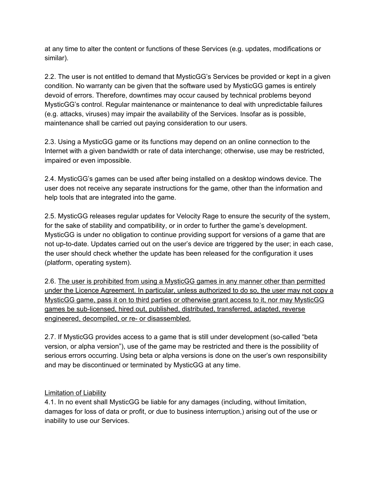at any time to alter the content or functions of these Services (e.g. updates, modifications or similar).

2.2. The user is not entitled to demand that MysticGG's Services be provided or kept in a given condition. No warranty can be given that the software used by MysticGG games is entirely devoid of errors. Therefore, downtimes may occur caused by technical problems beyond MysticGG's control. Regular maintenance or maintenance to deal with unpredictable failures (e.g. attacks, viruses) may impair the availability of the Services. Insofar as is possible, maintenance shall be carried out paying consideration to our users.

2.3. Using a MysticGG game or its functions may depend on an online connection to the Internet with a given bandwidth or rate of data interchange; otherwise, use may be restricted, impaired or even impossible.

2.4. MysticGG's games can be used after being installed on a desktop windows device. The user does not receive any separate instructions for the game, other than the information and help tools that are integrated into the game.

2.5. MysticGG releases regular updates for Velocity Rage to ensure the security of the system, for the sake of stability and compatibility, or in order to further the game's development. MysticGG is under no obligation to continue providing support for versions of a game that are not up-to-date. Updates carried out on the user's device are triggered by the user; in each case, the user should check whether the update has been released for the configuration it uses (platform, operating system).

2.6. The user is prohibited from using a MysticGG games in any manner other than permitted under the Licence Agreement. In particular, unless authorized to do so, the user may not copy a MysticGG game, pass it on to third parties or otherwise grant access to it, nor may MysticGG games be sub-licensed, hired out, published, distributed, transferred, adapted, reverse engineered, decompiled, or re- or disassembled.

2.7. If MysticGG provides access to a game that is still under development (so-called "beta version, or alpha version"), use of the game may be restricted and there is the possibility of serious errors occurring. Using beta or alpha versions is done on the user's own responsibility and may be discontinued or terminated by MysticGG at any time.

## Limitation of Liability

4.1. In no event shall MysticGG be liable for any damages (including, without limitation, damages for loss of data or profit, or due to business interruption,) arising out of the use or inability to use our Services.